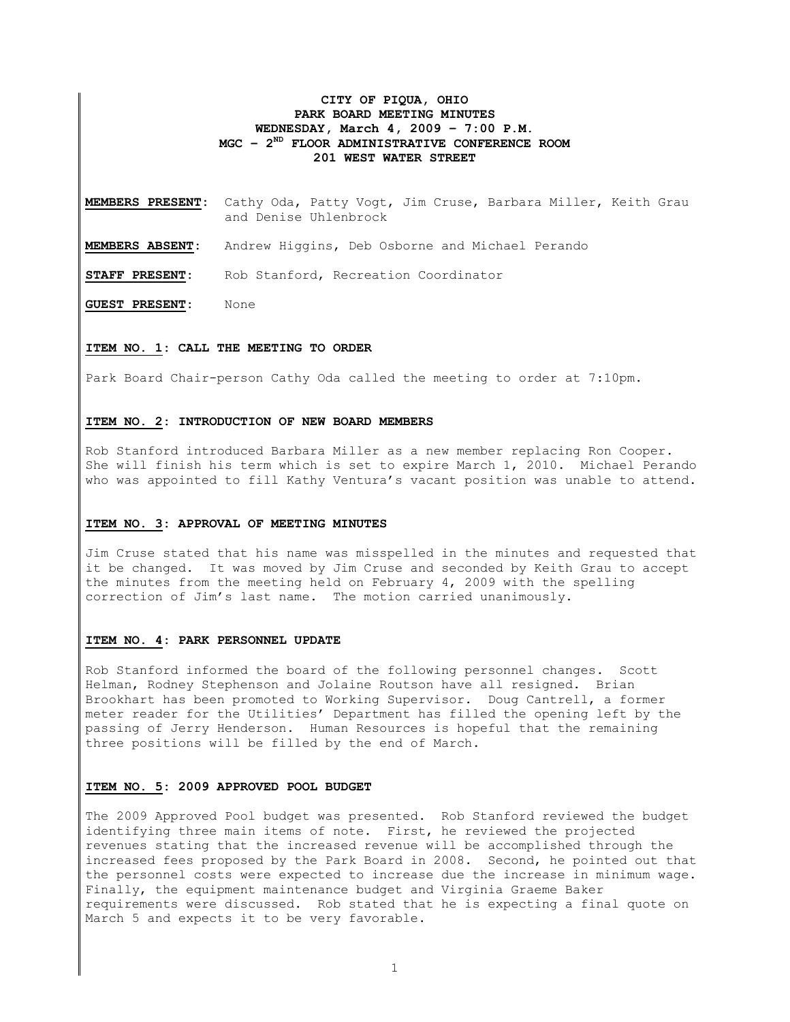# **CITY OF PIQUA, OHIO PARK BOARD MEETING MINUTES WEDNESDAY, March 4, 2009 – 7:00 P.M. MGC – 2ND FLOOR ADMINISTRATIVE CONFERENCE ROOM 201 WEST WATER STREET**

**MEMBERS PRESENT:** Cathy Oda, Patty Vogt, Jim Cruse, Barbara Miller, Keith Grau and Denise Uhlenbrock

**MEMBERS ABSENT:** Andrew Higgins, Deb Osborne and Michael Perando

**STAFF PRESENT:** Rob Stanford, Recreation Coordinator

**GUEST PRESENT:** None

## **ITEM NO. 1: CALL THE MEETING TO ORDER**

Park Board Chair-person Cathy Oda called the meeting to order at 7:10pm.

### **ITEM NO. 2: INTRODUCTION OF NEW BOARD MEMBERS**

Rob Stanford introduced Barbara Miller as a new member replacing Ron Cooper. She will finish his term which is set to expire March 1, 2010. Michael Perando who was appointed to fill Kathy Ventura's vacant position was unable to attend.

### **ITEM NO. 3: APPROVAL OF MEETING MINUTES**

Jim Cruse stated that his name was misspelled in the minutes and requested that it be changed. It was moved by Jim Cruse and seconded by Keith Grau to accept the minutes from the meeting held on February 4, 2009 with the spelling correction of Jim's last name. The motion carried unanimously.

### **ITEM NO. 4: PARK PERSONNEL UPDATE**

Rob Stanford informed the board of the following personnel changes. Scott Helman, Rodney Stephenson and Jolaine Routson have all resigned. Brian Brookhart has been promoted to Working Supervisor. Doug Cantrell, a former meter reader for the Utilities' Department has filled the opening left by the passing of Jerry Henderson. Human Resources is hopeful that the remaining three positions will be filled by the end of March.

### **ITEM NO. 5: 2009 APPROVED POOL BUDGET**

The 2009 Approved Pool budget was presented. Rob Stanford reviewed the budget identifying three main items of note. First, he reviewed the projected revenues stating that the increased revenue will be accomplished through the increased fees proposed by the Park Board in 2008. Second, he pointed out that the personnel costs were expected to increase due the increase in minimum wage. Finally, the equipment maintenance budget and Virginia Graeme Baker requirements were discussed. Rob stated that he is expecting a final quote on March 5 and expects it to be very favorable.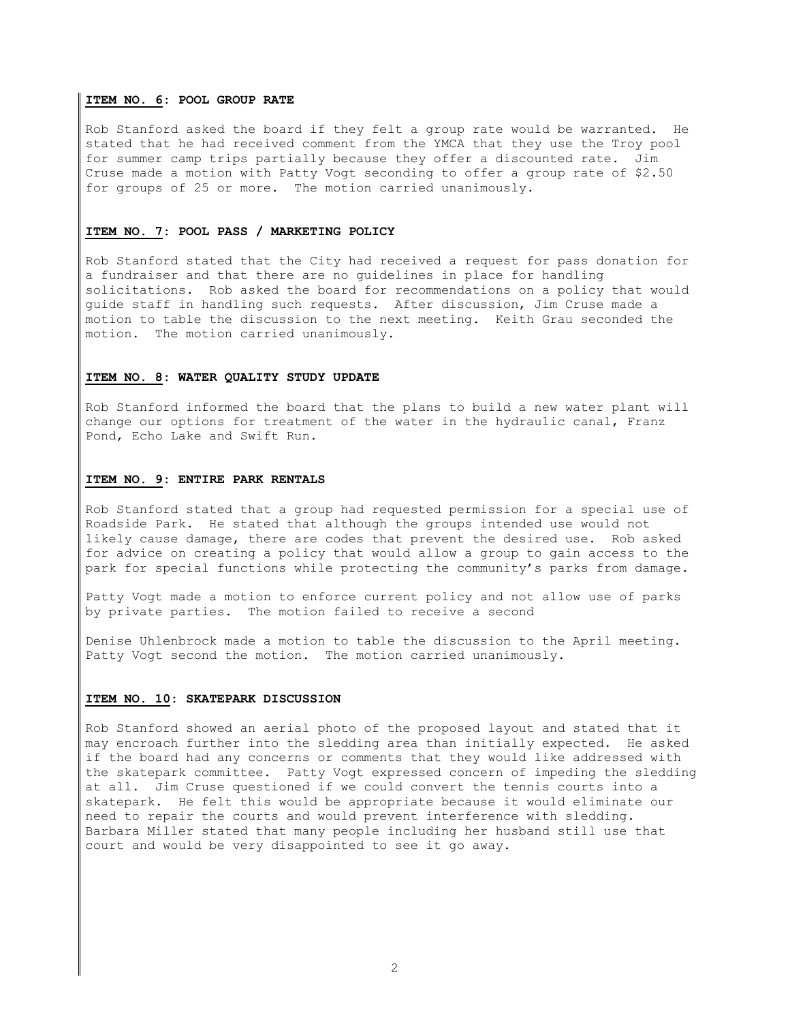## **ITEM NO. 6: POOL GROUP RATE**

Rob Stanford asked the board if they felt a group rate would be warranted. He stated that he had received comment from the YMCA that they use the Troy pool for summer camp trips partially because they offer a discounted rate. Jim Cruse made a motion with Patty Vogt seconding to offer a group rate of \$2.50 for groups of 25 or more. The motion carried unanimously.

### **ITEM NO. 7: POOL PASS / MARKETING POLICY**

Rob Stanford stated that the City had received a request for pass donation for a fundraiser and that there are no guidelines in place for handling solicitations. Rob asked the board for recommendations on a policy that would guide staff in handling such requests. After discussion, Jim Cruse made a motion to table the discussion to the next meeting. Keith Grau seconded the motion. The motion carried unanimously.

## **ITEM NO. 8: WATER QUALITY STUDY UPDATE**

Rob Stanford informed the board that the plans to build a new water plant will change our options for treatment of the water in the hydraulic canal, Franz Pond, Echo Lake and Swift Run.

# **ITEM NO. 9: ENTIRE PARK RENTALS**

Rob Stanford stated that a group had requested permission for a special use of Roadside Park. He stated that although the groups intended use would not likely cause damage, there are codes that prevent the desired use. Rob asked for advice on creating a policy that would allow a group to gain access to the park for special functions while protecting the community's parks from damage.

Patty Vogt made a motion to enforce current policy and not allow use of parks by private parties. The motion failed to receive a second

Denise Uhlenbrock made a motion to table the discussion to the April meeting. Patty Vogt second the motion. The motion carried unanimously.

### **ITEM NO. 10: SKATEPARK DISCUSSION**

Rob Stanford showed an aerial photo of the proposed layout and stated that it may encroach further into the sledding area than initially expected. He asked if the board had any concerns or comments that they would like addressed with the skatepark committee. Patty Vogt expressed concern of impeding the sledding at all. Jim Cruse questioned if we could convert the tennis courts into a skatepark. He felt this would be appropriate because it would eliminate our need to repair the courts and would prevent interference with sledding. Barbara Miller stated that many people including her husband still use that court and would be very disappointed to see it go away.